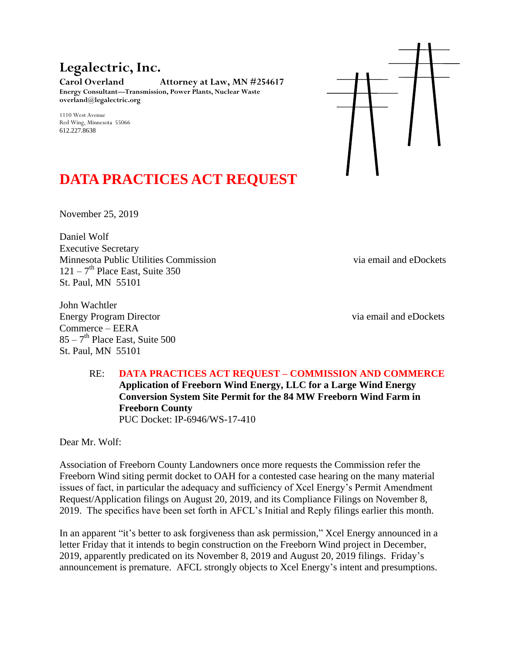**Legalectric, Inc.**

**Carol Overland Attorney at Law, MN #254617 Energy Consultant—Transmission, Power Plants, Nuclear Waste overland@legalectric.org**

1110 West Avenue Red Wing, Minnesota 55066 612.227.8638



# **DATA PRACTICES ACT REQUEST**

November 25, 2019

Daniel Wolf Executive Secretary Minnesota Public Utilities Commission via email and eDockets  $121 - 7$ <sup>th</sup> Place East, Suite 350 St. Paul, MN 55101

John Wachtler Energy Program Director via email and eDockets Commerce – EERA  $85 - 7$ <sup>th</sup> Place East, Suite 500 St. Paul, MN 55101

RE: **DATA PRACTICES ACT REQUEST – COMMISSION AND COMMERCE Application of Freeborn Wind Energy, LLC for a Large Wind Energy Conversion System Site Permit for the 84 MW Freeborn Wind Farm in Freeborn County** PUC Docket: IP-6946/WS-17-410

Dear Mr. Wolf:

Association of Freeborn County Landowners once more requests the Commission refer the Freeborn Wind siting permit docket to OAH for a contested case hearing on the many material issues of fact, in particular the adequacy and sufficiency of Xcel Energy's Permit Amendment Request/Application filings on August 20, 2019, and its Compliance Filings on November 8, 2019. The specifics have been set forth in AFCL's Initial and Reply filings earlier this month.

In an apparent "it's better to ask forgiveness than ask permission," Xcel Energy announced in a letter Friday that it intends to begin construction on the Freeborn Wind project in December, 2019, apparently predicated on its November 8, 2019 and August 20, 2019 filings. Friday's announcement is premature. AFCL strongly objects to Xcel Energy's intent and presumptions.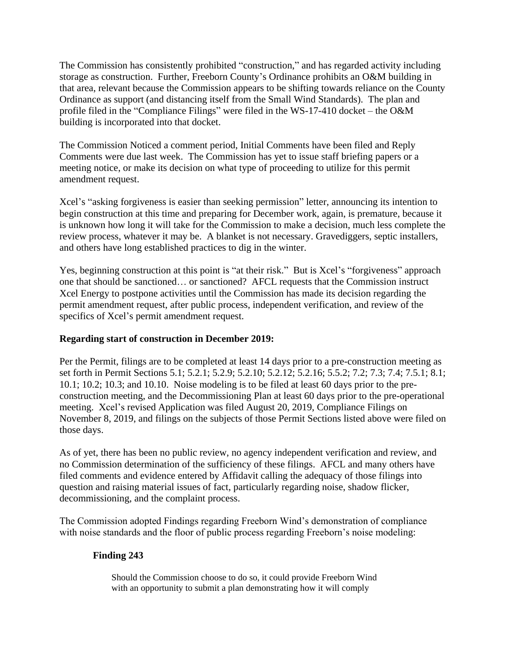The Commission has consistently prohibited "construction," and has regarded activity including storage as construction. Further, Freeborn County's Ordinance prohibits an O&M building in that area, relevant because the Commission appears to be shifting towards reliance on the County Ordinance as support (and distancing itself from the Small Wind Standards). The plan and profile filed in the "Compliance Filings" were filed in the WS-17-410 docket – the O&M building is incorporated into that docket.

The Commission Noticed a comment period, Initial Comments have been filed and Reply Comments were due last week. The Commission has yet to issue staff briefing papers or a meeting notice, or make its decision on what type of proceeding to utilize for this permit amendment request.

Xcel's "asking forgiveness is easier than seeking permission" letter, announcing its intention to begin construction at this time and preparing for December work, again, is premature, because it is unknown how long it will take for the Commission to make a decision, much less complete the review process, whatever it may be. A blanket is not necessary. Gravediggers, septic installers, and others have long established practices to dig in the winter.

Yes, beginning construction at this point is "at their risk." But is Xcel's "forgiveness" approach one that should be sanctioned… or sanctioned? AFCL requests that the Commission instruct Xcel Energy to postpone activities until the Commission has made its decision regarding the permit amendment request, after public process, independent verification, and review of the specifics of Xcel's permit amendment request.

### **Regarding start of construction in December 2019:**

Per the Permit, filings are to be completed at least 14 days prior to a pre-construction meeting as set forth in Permit Sections 5.1; 5.2.1; 5.2.9; 5.2.10; 5.2.12; 5.2.16; 5.5.2; 7.2; 7.3; 7.4; 7.5.1; 8.1; 10.1; 10.2; 10.3; and 10.10. Noise modeling is to be filed at least 60 days prior to the preconstruction meeting, and the Decommissioning Plan at least 60 days prior to the pre-operational meeting. Xcel's revised Application was filed August 20, 2019, Compliance Filings on November 8, 2019, and filings on the subjects of those Permit Sections listed above were filed on those days.

As of yet, there has been no public review, no agency independent verification and review, and no Commission determination of the sufficiency of these filings. AFCL and many others have filed comments and evidence entered by Affidavit calling the adequacy of those filings into question and raising material issues of fact, particularly regarding noise, shadow flicker, decommissioning, and the complaint process.

The Commission adopted Findings regarding Freeborn Wind's demonstration of compliance with noise standards and the floor of public process regarding Freeborn's noise modeling:

## **Finding 243**

Should the Commission choose to do so, it could provide Freeborn Wind with an opportunity to submit a plan demonstrating how it will comply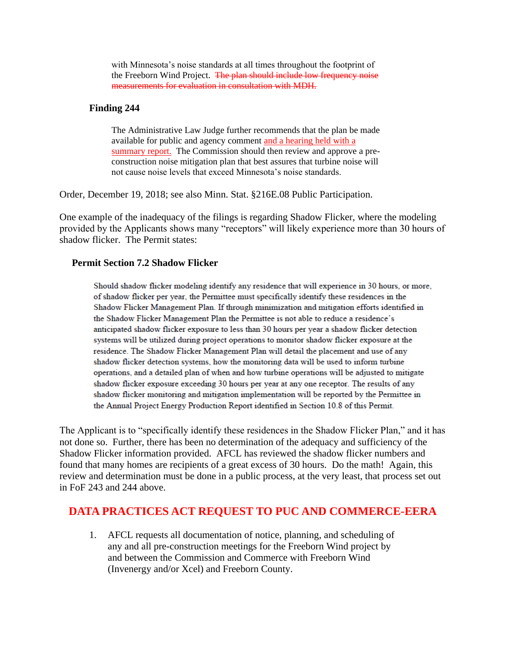with Minnesota's noise standards at all times throughout the footprint of the Freeborn Wind Project. The plan should include low frequency noise measurements for evaluation in consultation with MDH.

#### **Finding 244**

The Administrative Law Judge further recommends that the plan be made available for public and agency comment and a hearing held with a summary report. The Commission should then review and approve a preconstruction noise mitigation plan that best assures that turbine noise will not cause noise levels that exceed Minnesota's noise standards.

Order, December 19, 2018; see also Minn. Stat. §216E.08 Public Participation.

One example of the inadequacy of the filings is regarding Shadow Flicker, where the modeling provided by the Applicants shows many "receptors" will likely experience more than 30 hours of shadow flicker. The Permit states:

#### **Permit Section 7.2 Shadow Flicker**

Should shadow flicker modeling identify any residence that will experience in 30 hours, or more, of shadow flicker per year, the Permittee must specifically identify these residences in the Shadow Flicker Management Plan. If through minimization and mitigation efforts identified in the Shadow Flicker Management Plan the Permittee is not able to reduce a residence's anticipated shadow flicker exposure to less than 30 hours per year a shadow flicker detection systems will be utilized during project operations to monitor shadow flicker exposure at the residence. The Shadow Flicker Management Plan will detail the placement and use of any shadow flicker detection systems, how the monitoring data will be used to inform turbine operations, and a detailed plan of when and how turbine operations will be adjusted to mitigate shadow flicker exposure exceeding 30 hours per year at any one receptor. The results of any shadow flicker monitoring and mitigation implementation will be reported by the Permittee in the Annual Project Energy Production Report identified in Section 10.8 of this Permit.

The Applicant is to "specifically identify these residences in the Shadow Flicker Plan," and it has not done so. Further, there has been no determination of the adequacy and sufficiency of the Shadow Flicker information provided. AFCL has reviewed the shadow flicker numbers and found that many homes are recipients of a great excess of 30 hours. Do the math! Again, this review and determination must be done in a public process, at the very least, that process set out in FoF 243 and 244 above.

## **DATA PRACTICES ACT REQUEST TO PUC AND COMMERCE-EERA**

1. AFCL requests all documentation of notice, planning, and scheduling of any and all pre-construction meetings for the Freeborn Wind project by and between the Commission and Commerce with Freeborn Wind (Invenergy and/or Xcel) and Freeborn County.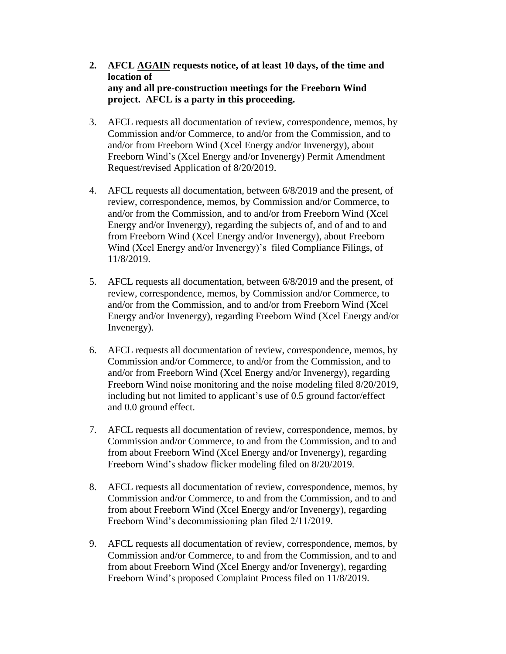- **2. AFCL AGAIN requests notice, of at least 10 days, of the time and location of any and all pre-construction meetings for the Freeborn Wind project. AFCL is a party in this proceeding.**
- 3. AFCL requests all documentation of review, correspondence, memos, by Commission and/or Commerce, to and/or from the Commission, and to and/or from Freeborn Wind (Xcel Energy and/or Invenergy), about Freeborn Wind's (Xcel Energy and/or Invenergy) Permit Amendment Request/revised Application of 8/20/2019.
- 4. AFCL requests all documentation, between 6/8/2019 and the present, of review, correspondence, memos, by Commission and/or Commerce, to and/or from the Commission, and to and/or from Freeborn Wind (Xcel Energy and/or Invenergy), regarding the subjects of, and of and to and from Freeborn Wind (Xcel Energy and/or Invenergy), about Freeborn Wind (Xcel Energy and/or Invenergy)'s filed Compliance Filings, of 11/8/2019.
- 5. AFCL requests all documentation, between 6/8/2019 and the present, of review, correspondence, memos, by Commission and/or Commerce, to and/or from the Commission, and to and/or from Freeborn Wind (Xcel Energy and/or Invenergy), regarding Freeborn Wind (Xcel Energy and/or Invenergy).
- 6. AFCL requests all documentation of review, correspondence, memos, by Commission and/or Commerce, to and/or from the Commission, and to and/or from Freeborn Wind (Xcel Energy and/or Invenergy), regarding Freeborn Wind noise monitoring and the noise modeling filed 8/20/2019, including but not limited to applicant's use of 0.5 ground factor/effect and 0.0 ground effect.
- 7. AFCL requests all documentation of review, correspondence, memos, by Commission and/or Commerce, to and from the Commission, and to and from about Freeborn Wind (Xcel Energy and/or Invenergy), regarding Freeborn Wind's shadow flicker modeling filed on 8/20/2019.
- 8. AFCL requests all documentation of review, correspondence, memos, by Commission and/or Commerce, to and from the Commission, and to and from about Freeborn Wind (Xcel Energy and/or Invenergy), regarding Freeborn Wind's decommissioning plan filed 2/11/2019.
- 9. AFCL requests all documentation of review, correspondence, memos, by Commission and/or Commerce, to and from the Commission, and to and from about Freeborn Wind (Xcel Energy and/or Invenergy), regarding Freeborn Wind's proposed Complaint Process filed on 11/8/2019.